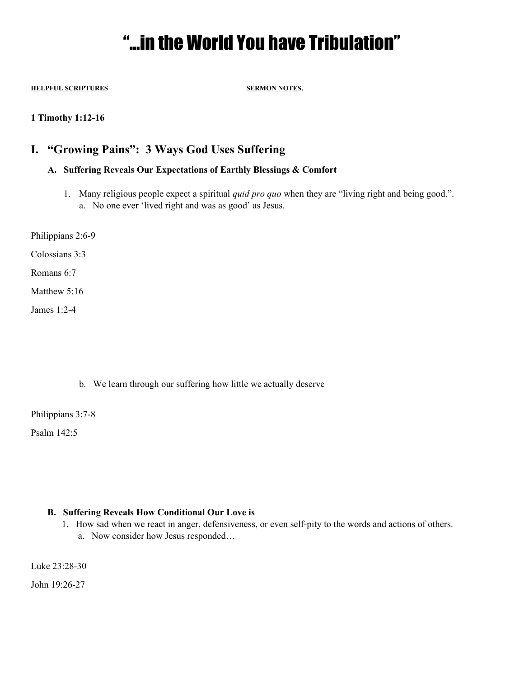# "…in the World You have Tribulation"

**HELPFUL SCRIPTURES SERMON NOTES**.

**1 Timothy 1:12-16**

## **I. "Growing Pains": 3 Ways God Uses Suffering**

### **A. Suffering Reveals Our Expectations of Earthly Blessings & Comfort**

- 1. Many religious people expect a spiritual *quid pro quo* when they are "living right and being good.". a. No one ever 'lived right and was as good' as Jesus.
- Philippians 2:6-9

Colossians 3:3

Romans 6:7

Matthew 5:16

James 1:2-4

b. We learn through our suffering how little we actually deserve

Philippians 3:7-8

Psalm 142:5

#### **B. Suffering Reveals How Conditional Our Love is**

1. How sad when we react in anger, defensiveness, or even self-pity to the words and actions of others. a. Now consider how Jesus responded…

Luke 23:28-30

John 19:26-27